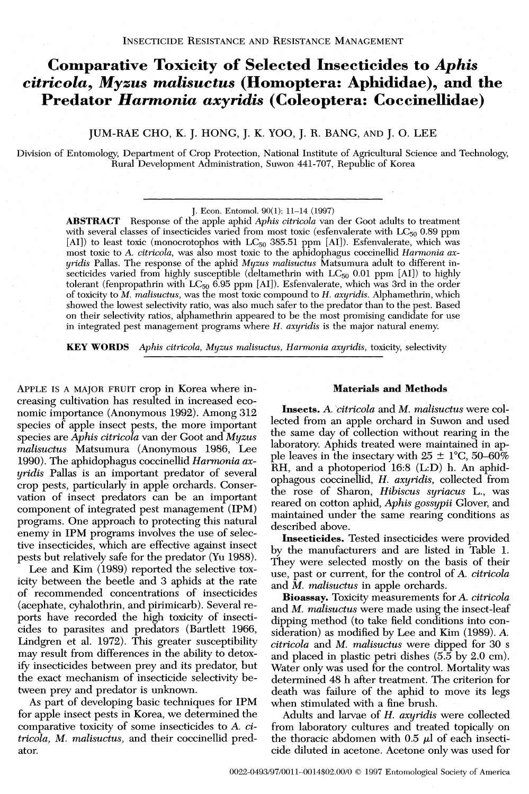## **Comparative Toxicity of Selected Insecticides to** *Aphis citricola, Myzus malisuctus* **(Homoptera: Aphididae), and the Predator** *Harmonia axyridis* **(Coleoptera: Coccinellidae)**

JUM-RAE CHO, K. J. HONG, J. K. YOO, J. R. BANG, AND J. 0. LEE

Division of Entomology, Department of Crop Protection, National Institute of Agricultural Science and Technology, Rural Development Administration, Suwon 441-707, Republic of Korea

J. Econ. Entomol. 90(1): 11-14 (1997)

**ABSTRACT** Response of the apple aphid *Aphis citricola* van der Goot adults to treatment with several classes of insecticides varied from most toxic (esfenvalerate with  $LC_{50}$  0.89 ppm [AI]) to least toxic (monocrotophos with  $LC_{50}$  385.51 ppm [AI]). Esfenvalerate, which was most toxic to A. citricola, was also most toxic to the aphidophagus coccinellid *Harmonia axyridis* Pallas. The response of the aphid *Myzus malisuctus* Matsumura adult to different insecticides varied from highly susceptible (deltamethrin with  $LC_{50}$  0.01 ppm [AI]) to highly tolerant (fenpropathrin with  $LC_{50}$  6.95 ppm [AI]). Esfenvalerate, which was 3rd in the order of toxicity to M. *malisuctus,* was the most toxic compound to *H. axyridis.* Alphamethrin, which showed the lowest selectivity ratio, was also much safer to the predator than to the pest. Based<br>on their selectivity ratios, alphamethrin appeared to be the most promising candidate for use<br>in integrated pest management

**KEY WORDS** *Aphis citricola, Myzus malisuctus, Harmonia axyridis, toxicity, selectivity* 

APPLE IS A MAJOR FRUIT crop in Korea where increasing cultivation has resulted in increased economic importance (Anonymous 1992). Among 312 species of apple insect pests, the more important species are *Aphis citricola* van der Goot and *Myzus malisuctus* Matsumura (Anonymous 1986, Lee 1990). The aphidophagus coccinellid *Hamnonia axyridis* Pallas is an important predator of several crop pests, particularly in apple orchards. Conservation of insect predators can be an important component of integrated pest management (IPM) programs. One approach to protecting this natural enemy in IPM programs involves the use of selective insecticides, which are effective against insect pests but relatively safe for the predator (Yu 1988).

Lee and Kim (1989) reported the selective toxicity between the beetle and 3 aphids at the rate of recommended concentrations of insecticides (acephate, cyhalothrin, and pirimicarb). Several reports have recorded the high toxicity of insecticides to parasites and predators (Bartlett 1966, Lindgren et al. 1972). This greater susceptibility may result from differences in the ability to detoxify insecticides between prey and its predator, but the exact mechanism of insecticide selectivitv between prey and predator is unknown.

As part of developing basic techniques for IPM for apple insect pests in Korea, we determined the comparative toxicity of some insecticides to *A. citricola, M, malisuctus,* and their coccinellid predator.

#### **Materials and Methods**

**Insects.** *A. citricola* and *M. malisuctus* were collected from an apple orchard in Suwon and used the same day of collection without rearing in the laboratory. Aphids treated were maintained in apple leaves in the insectary with  $25 \pm 1^{\circ}$ C, 50-60% RH, and a photoperiod 16:8 (L:D) h. An aphidophagous coccinellid, *H. axyridis,* collected from the rose of Sharon, *Hibiscus syriacus* L., was reared on cotton aphid, *Aphis gossypii* Glover, and maintained under the same rearing conditions as described above.

**Insecticides.** Tested insecticides were provided by the manufacturers and are listed in Table 1. They were selected mostly on the basis of their use, past or current, for the control of *A. citricola*  and *M. malisuctus* in apple orchards.

**Bioassav.** Toxicitv measurements for *A, citricola* **i**  and *M. malisuctus* were made using the insect-leaf dipping method (to take field conditions into consideration) as modified by Lee and Kim (1989). *A. citricola* and *M. malisuctus* were dipped for 30 s and placed in plastic petri dishes  $(5.5 \text{ by } 2.0 \text{ cm})$ . Water only was used for the control. Mortality was determined 48 h after treatment. The criterion for death was failure of the aphid to move its legs when stimulated with a fine brush.

Adults and larvae of **H,** *axyridis* were collected from laboratory cultures and treated topically on the thoracic abdomen with  $0.5 \mu$  of each insecticide diluted in acetone. Acetone only was used for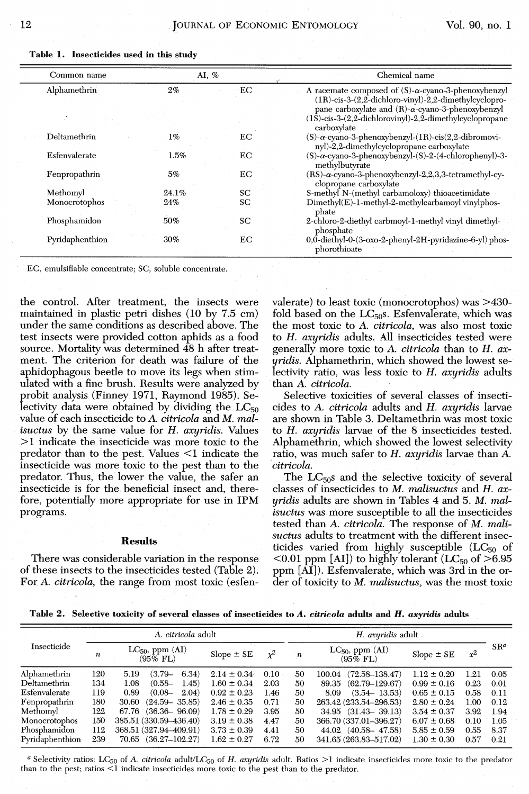| Common name     | AI, % |    | Chemical name                                                                                                                                                                                  |  |  |  |  |
|-----------------|-------|----|------------------------------------------------------------------------------------------------------------------------------------------------------------------------------------------------|--|--|--|--|
| Alphamethrin    | 2%    | EС | A racemate composed of $(S)$ - $\alpha$ -cyano-3-phenoxybenzyl<br>$(1R)$ -cis-3- $(2,2$ -dichloro-vinyl)-2,2-dimethylcyclopro-<br>pane carboxylate and $(R)$ - $\alpha$ -cyano-3-phenoxybenzyl |  |  |  |  |
|                 |       |    | $(1\bar{S})$ -cis-3- $(2,2$ -dichlorovinyl)-2,2-dimethylcyclopropane<br>carboxylate                                                                                                            |  |  |  |  |
| Deltamethrin    | $1\%$ | EC | $(S)$ - $\alpha$ -cyano-3-phenoxybenzyl- $(1R)$ -cis $(2,2$ -dibromovi-<br>nyl)-2,2-dimethylcyclopropane carboxylate                                                                           |  |  |  |  |
| Esfenvalerate   | 1.5%  | EС | (S)-α-cyano-3-phenoxybenzyl-(S)-2-(4-chlorophenyl)-3-<br>methylbutyrate                                                                                                                        |  |  |  |  |
| Fenpropathrin   | 5%    | EС | $(RS)$ - $\alpha$ -cyano-3-phenoxybenzyl-2,2,3,3-tetramethyl-cy-<br>clopropane carboxylate                                                                                                     |  |  |  |  |
| Methomyl        | 24.1% | SС | S-methyl N-(methyl carbamoloxy) thioacetimidate                                                                                                                                                |  |  |  |  |
| Monocrotophos   | 24%   | SС | Dimethyl(E)-1-methyl-2-methylcarbamoyl vinylphos-<br>phate                                                                                                                                     |  |  |  |  |
| Phosphamidon    | 50%   | SC | 2-chloro-2-diethyl carbmoyl-1-methyl vinyl dimethyl-<br>phosphate                                                                                                                              |  |  |  |  |
| Pyridaphenthion | 30%   | EС | 0,0-diethyl-0-(3-oxo-2-phenyl-2H-pyridazine-6-yl) phos-<br>phorothioate                                                                                                                        |  |  |  |  |

**Table 1. Insecticides used in this study** 

EC, emulsifiable concentrate; SC, soluble concentrate

the control. After treatment, the insects were maintained in plastic petri dishes (10 by 7.5 cm) under the same conditions as described above. The test insects were provided cotton aphids as a food source. Mortality was determined 48 h after treatment. The criterion for death was failure of the aphidophagous beetle to move its legs when stimulated with a fine brush. Results were analyzed by probit analysis (Finney 1971, Raymond 1985). Selectivity data were obtained by dividing the  $LC_{50}$ value of each insecticide to A. *citricola* and *M. malisuctus* by the same value for *H. axyridis.* Values **>1** indicate the insecticide was more toxic to the predator than to the pest. Values <1 indicate the insecticide was more toxic to the pest than to the predator. Thus, the lower the value, the safer an insecticide is for the beneficial insect and, therefore, potentially more appropriate for use in IPM programs.

### **Results**

There was considerable variation in the response of these insects to the insecticides tested (Table **2).**  For A. *citricola,* the range from most toxic (esfenvalerate) to least toxic (monocrotophos) was >430 fold based on the  $LC_{50}$ s. Esfenvalerate, which was the most toxic to A. *citricola,* was also most toxic to *H, axyridis* adults. All insecticides tested were generally more toxic to A. *citricola* than to *H. axyridis.* Alphamethrin, which showed the lowest selectivity ratio, was less toxic to *H, axyridis* adults than **A,** *citricola.* 

Selective toxicities of several classes of insecticides to A. *citricola* adults and *H. axyridis* larvae are shown in Table 3. Deltamethrin was most toxic to *H, axyridis* larvae of the 8 insecticides tested. Alphamethrin, which showed the lowest selectivity ratio, was much safer to H. *axyridis* larvae than *A. citricola.* 

The  $LC_{50}$ s and the selective toxicity of several classes of insecticides to *M. mlisuctus* and *H. axuridis* adults are shown in Tables 4 and 5. *M, mal-* **<sup>J</sup>** *isuctus* was more susceptible to all the insecticides tested than **A.** *citricola.* The response of M. *mali*suctus adults to treatment with the different insecticides varied from highly susceptible  $(LC_{50}$  of  $<$ 0.01 ppm [AI]) to highly tolerant (LC<sub>50</sub> of >6.95 ppm  $[\overline{AI}]$ ). Esfenvalerate, which was 3rd in the order of toxicity to M. *malisuctus,* was the most toxic

**Table 2. Selective toxicity of several classes of insecticides to A. citricola adults and H. axyridis adults** 

|                           |                  | A. citricola adult                 |                 |       | H. axyridis adult |                                       |                 |       |        |
|---------------------------|------------------|------------------------------------|-----------------|-------|-------------------|---------------------------------------|-----------------|-------|--------|
| Insecticide               | $\boldsymbol{n}$ | $LC_{50}$ , ppm $(AI)$<br>(95% FL) | Slope $\pm$ SE  | $x^2$ | $\boldsymbol{n}$  | $LC_{50}$ , ppm $(AI)$<br>$(95\%$ FL) | $Slope \pm SE$  | $x^2$ | $SR^a$ |
| Alphamethrin              | 120              | 5.19<br>$(3.79 -$<br>6.34)         | $2.14 \pm 0.34$ | 0.10  | 50                | $(72.58 - 138.47)$<br>100.04          | $1.12 \pm 0.20$ | 1.21  | 0.05   |
| Deltamethrin <sup>-</sup> | 134              | $(0.58 -$<br>1.45)<br>1.08         | $1.60 \pm 0.34$ | 2.03  | 50                | $(62.79 - 129.67)$<br>89.35           | $0.99 \pm 0.16$ | 0.23  | 0.01   |
| Esfenvalerate             | 119              | 0.89<br>$(0.08 -$<br>2.04)         | $0.92 \pm 0.23$ | 1.46  | 50                | $(3.54 - 13.53)$<br>8.09              | $0.65 \pm 0.15$ | 0.58  | 0.11   |
| Fenpropathrin             | 180              | $(24.59 - 35.85)$<br>30.60         | $2.46 \pm 0.35$ | 0.71  | 50                | 263.42 (233.54-296.53)                | $2.80 \pm 0.24$ | 1.00  | 0.12   |
| Methomyl                  | 122              | $(36.36 - 96.09)$<br>67.76         | $1.78 \pm 0.29$ | 3.95  | 50                | $34.95$ $(31.43 - 39.13)$             | $3.54 \pm 0.37$ | 3.92  | - 1.94 |
| Monocrotophos             | 150              | 385.51 (330.59-436.40)             | $3.19 \pm 0.38$ | 4.47  | 50                | 366.70 (337.01-396.27)                | $6.07 \pm 0.68$ | 0.10  | 1.05   |
| Phosphamidon              | 112              | 368.51 (327.94-409.91)             | $3.73 \pm 0.39$ | 4.41  | 50                | 44.02 (40.58 – 47.58)                 | $5.85 \pm 0.59$ | 0.55  | 8.37   |
| Pyridaphenthion           | 239              | $70.65$ $(36.27 - 102.27)$         | $1.62 \pm 0.27$ | 6.72  | 50                | 341.65 (263.83-517.02)                | $1.30 \pm 0.30$ | 0.57  | 0.21   |
|                           |                  |                                    |                 |       |                   |                                       |                 |       |        |

a Selectivity ratios: LC<sub>50</sub> of *A. citricola* adult/LC<sub>50</sub> of *H. axyridis* adult. Ratios >1 indicate insecticides more toxic to the predator than to the pest; ratios <1 indicate insecticides more toxic to the pest than to the predator.

Ξ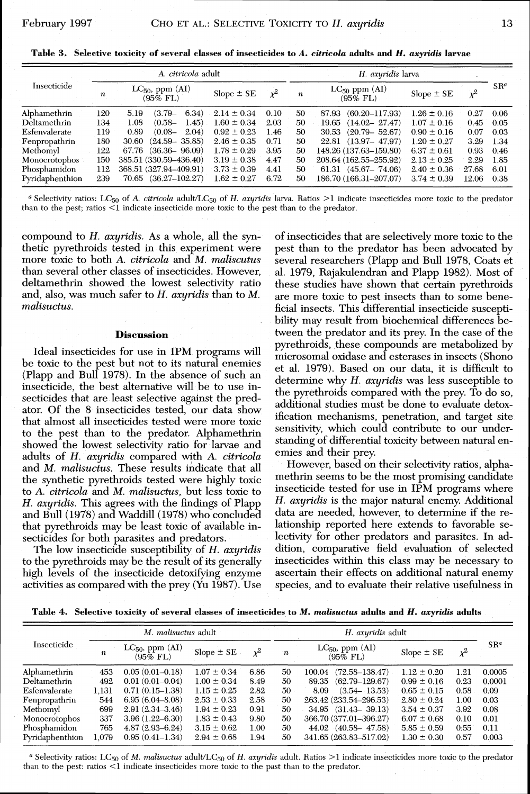| Table 3.Selective toxicity of several classes of insecticides to <i>A. citricola</i> adults and <i>H. axyridis</i> larvae |  |  |  |  |  |
|---------------------------------------------------------------------------------------------------------------------------|--|--|--|--|--|
|                                                                                                                           |  |  |  |  |  |

|                 | A. citricola adult |                                       |                 |       |                  | H. axyridis larva                |                 |       |         |
|-----------------|--------------------|---------------------------------------|-----------------|-------|------------------|----------------------------------|-----------------|-------|---------|
| Insecticide     | n                  | $LC_{50}$ , ppm $(AI)$<br>$(95\%$ FL) | $Slope \pm SE$  | $x^2$ | $\boldsymbol{n}$ | $LC_{50}$ ppm $(AI)$<br>(95% FL) | Slope $\pm$ SE  | $x^2$ | $S R^a$ |
| Alphamethrin    | 120                | 6.34)<br>5.19<br>$(3.79-$             | $2.14 \pm 0.34$ | 0.10  | 50               | $(60.20 - 117.93)$<br>87.93      | $1.26 \pm 0.16$ | 0.27  | 0.06    |
| Deltamethrin    | 134                | $(0.58 -$<br>1.45)<br>1.08            | $1.60 \pm 0.34$ | 2.03  | 50               | $(14.02 - 27.47)$<br>19.65       | $1.07 \pm 0.16$ | 0.45  | 0.05    |
| Esfenvalerate   | 119                | 0.89<br>2.04)<br>$(0.08 -$            | $0.92 \pm 0.23$ | 1.46  | 50               | $(20.79 - 52.67)$<br>30.53       | $0.90 \pm 0.16$ | 0.07  | 0.03    |
| Fenpropathrin   | 180                | $(24.59 - 35.85)$<br>30.60            | $2.46 \pm 0.35$ | 0.71  | 50               | $(13.97 - 47.97)$<br>22.81       | $1.20 \pm 0.27$ | 3.29  | 1.34    |
| Methomyl        | 122                | 67.76 (36.36 96.09)                   | $1.78 \pm 0.29$ | 3.95  | 50               | 148.26 (137.63-159.80)           | $6.37 \pm 0.61$ | 0.93  | 0.46    |
| Monocrotophos   | 150                | 385.51 (330.59-436.40)                | $3.19 \pm 0.38$ | 4.47  | 50               | 208.64 (162.55-255.92)           | $2.13 \pm 0.25$ | 2.29  | 1.85    |
| Phosphamidon    | 112                | 368.51 (327.94-409.91)                | $3.73 \pm 0.39$ | 4.41  | 50               | $(45.67 - 74.06)$<br>61.31       | $2.40 \pm 0.36$ | 27.68 | 6.01    |
| Pyridaphenthion | 239                | $(36.27 - 102.27)$<br>70.65           | $1.62 \pm 0.27$ | 6.72  | 50               | 186.70 (166.31-207.07)           | $3.74 \pm 0.39$ | 12.06 | 0.38    |

*a* Selectivity ratios: LC<sub>50</sub> of A. *citricola* adult/LC<sub>50</sub> of *H. axyridis* larva. Ratios >1 indicate insecticides more toxic to the predator *than to the pest; ratios* <1 *indicate insecticide more toxic to the pest than to the predator.* 

compound to H. *axyridis.* As a whole, all the synthetic pyrethroids tested in this experiment were more toxic to both **A.** *citricola* and *M. maliscutus*  than several other classes of insecticides. However, deltamethrin showed the lowest selectivity ratio and, also, was much safer to H. *axyridis* than to *M. malisuctus.* 

### **Discussion**

Ideal insecticides for use in IPM programs will be toxic to the pest but not to its natural enemies (Plapp and Bull 1978). In the absence of such an insecticide, the best alternative will be to use insecticides that are least selective against the predator. Of the 8 insecticides tested, our data show that almost all insecticides tested were more toxic to the pest than to the predator. Alphamethrin showed the lowest selectivity ratio for larvae and adults of *H, axyridis* compared with *A. citricola*  and *M. malisuctus.* These results indicate that all the synthetic pyrethroids tested were highly toxic to **A.** *citricola* and *M, malisuctus,* but less toxic to *H. axyridis.* This agrees with the findings of Plapp and Bull (1978) and Waddill (1978) who concluded that pyrethroids may be least toxic of available insecticides for both parasites and predators.

The low insecticide susceptibility of H. *axyridis*  to the pyrethroids may be the result of its generally high levels of the insecticide detoxifying enzyme activities as compared with the prey (Yu 1987). Use

of insecticides that are selectively more toxic to the pest than to the predator has been advocated by several researchers (Plapp and Bull 1978, Coats et al. 1979, Rajakulendran and Plapp 1982). Most of these studies have shown that certain pyrethroids are more toxic to pest insects than to some beneficial insects. This differential insecticide susceptibility may result from biochemical differences between the predator and its prey. In the case of the pyrethroids, these compounds are metabolized by microsomal oxidase and esterases in insects (Shono et al. 1979). Based on our data, it is difficult to determine why H. *axyridis* was less susceptible to the pyrethroids compared with the prey. To do so, additional studies must be done to evaluate detoxification mechanisms, penetration, and target site sensitivity, which could contribute to our understanding of differential toxicity between natural enemies and their prey.

However, based on their selectivity ratios, alphamethrin seems to be the most promising candidate insecticide tested for use in IPM programs where *H, axyridis* is the major natural enemy. Additional data are needed, however, to determine if the relationship reported here extends to favorable selectivity for other predators and parasites. In ad dition, comparative field evaluation of selected insecticides within this class may be necessary to ascertain their effects on additional natural enemy species, and to evaluate their relative usefulness in

**Table 4. Selective toxicity of several classes of insecticides to M.** *malisuctus* **adults and** *H. axyridis* **adults** 

|                      | M. malisuctus adult |                                       |                 |          |                  |                                       |                 |       |         |
|----------------------|---------------------|---------------------------------------|-----------------|----------|------------------|---------------------------------------|-----------------|-------|---------|
| Insecticide          | n                   | $LC_{50}$ , ppm $(AI)$<br>$(95\%$ FL) | $Slope \pm SE$  | $\chi^2$ | $\boldsymbol{n}$ | $LC_{50}$ , ppm $(AI)$<br>$(95\%$ FL) | Slope $\pm$ SE  | $x^2$ | $S R^a$ |
| Alphamethrin         | 453                 | $0.05(0.01 - 0.18)$                   | $1.07 \pm 0.34$ | 6.86     | 50               | $(72.58 - 138.47)$<br>100.04          | $1.12 \pm 0.20$ | 1.21  | 0.0005  |
| Deltamethrin         | 492                 | $0.01(0.01-0.04)$                     | $1.00 \pm 0.34$ | 8.49     | 50               | $(62.79 - 129.67)$<br>89.35           | $0.99 \pm 0.16$ | 0.23  | 0.0001  |
| <b>Esfenvalerate</b> | 1.131               | $0.71(0.15 - 1.38)$                   | $1.15 \pm 0.25$ | 2.82     | 50               | $(3.54 - 13.53)$<br>8.09              | $0.65 \pm 0.15$ | 0.58  | 0.09    |
| Fenpropathrin        | 544                 | $6.95(6.04 - 8.08)$                   | $2.53 \pm 0.33$ | 2.58     | 50               | 263.42 (233.54-296.53)                | $2.80 \pm 0.24$ | 1.00  | 0.03    |
| Methomyl             | 699                 | $2.91(2.34 - 3.46)$                   | $1.94 \pm 0.23$ | 0.91     | 50               | $34.95$ $(31.43 - 39.13)$             | $3.54 \pm 0.37$ | 3.92  | 0.08    |
| Monocrotophos        | 337                 | $3.96(1.22 - 6.30)$                   | $1.83 \pm 0.43$ | 9.80     | 50               | 366.70 (377.01-396.27)                | $6.07 \pm 0.68$ | 0.10  | 0.01    |
| Phosphamidon         | 765                 | $4.87(2.93 - 6.24)$                   | $3.15 \pm 0.62$ | 1.00     | 50               | 44.02 (40.58 - 47.58)                 | $5.85 \pm 0.59$ | 0.55  | 0.11    |
| Pyridaphenthion      | 1.079               | $0.95(0.41 - 1.34)$                   | $2.94 \pm 0.68$ | 1.94     | 50               | 341.65 (263.83-517.02)                | $1.30 \pm 0.30$ | 0.57  | 0.003   |

<sup>a</sup>*Selectivity ratios: LCso of* **iM.** *malisuctus adult/LCso of H, axyridis adult. Ratios* >1 *indicate insecticides more toxic to the predator than to the pest: ratios* <1 *indicate insecticides more toxic to the past than to the predator.*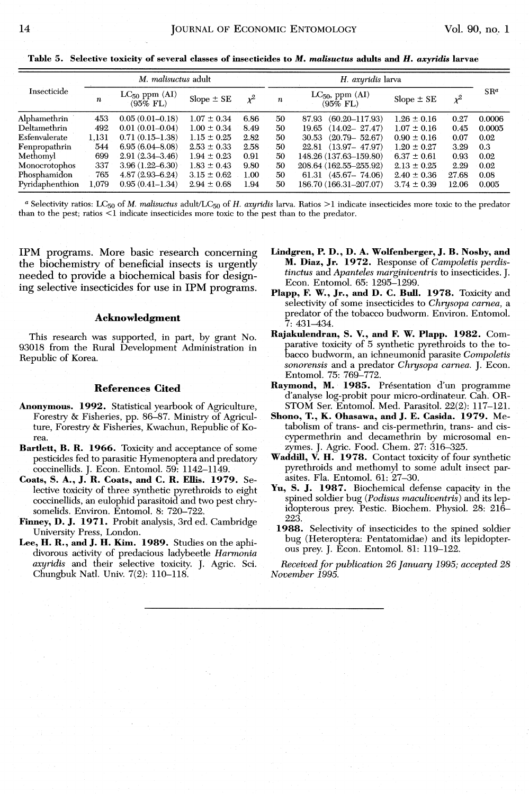**Table 5. Selective toxicity of several classes of insecticides to M.** *malisuctus* **adults and** *H. axyridis* **larvae** 

|                 | M. malisuctus adult |                                     |                 |       |    | H. axyridis larva                     |                 |       |        |  |
|-----------------|---------------------|-------------------------------------|-----------------|-------|----|---------------------------------------|-----------------|-------|--------|--|
| Insecticide     | n                   | $LC_{50}$ ppm $(AI)$<br>$(95\%$ FL) | $Slope \pm SE$  | $x^2$ | n  | $LC_{50}$ , ppm $(AI)$<br>$(95\%$ FL) | $Slope \pm SE$  | $x^2$ | $SR^a$ |  |
| Alphamethrin    | 453                 | $0.05(0.01 - 0.18)$                 | $1.07 \pm 0.34$ | 6.86  | 50 | $(60.20 - 117.93)$<br>87.93           | $1.26 \pm 0.16$ | 0.27  | 0.0006 |  |
| Deltamethrin    | 492                 | $0.01(0.01 - 0.04)$                 | $1.00 \pm 0.34$ | 8.49  | 50 | $(14.02 - 27.47)$<br>19.65            | $1.07 \pm 0.16$ | 0.45  | 0.0005 |  |
| Esfenvalerate   | 1.131               | $0.71(0.15-1.38)$                   | $1.15 \pm 0.25$ | 2.82  | 50 | $(20.79 - 52.67)$<br>30.53            | $0.90 \pm 0.16$ | 0.07  | 0.02   |  |
| Fenpropathrin   | 544                 | $6.95(6.04 - 8.08)$                 | $2.53 \pm 0.33$ | 2.58  | 50 | $22.81$ $(13.97 - 47.97)$             | $1.20 \pm 0.27$ | 3.29  | 0.3    |  |
| Methomyl        | 699                 | $2.91(2.34 - 3.46)$                 | $1.94 \pm 0.23$ | 0.91  | 50 | 148.26 (137.63-159.80)                | $6.37 \pm 0.61$ | 0.93  | 0.02   |  |
| Monocrotophos   | 337                 | $3.96(1.22 - 6.30)$                 | $1.83 \pm 0.43$ | 9.80  | 50 | 208.64 (162.55-255.92)                | $2.13 \pm 0.25$ | 2.29  | 0.02   |  |
| Phosphamidon    | 765                 | $4.87(2.93 - 6.24)$                 | $3.15 \pm 0.62$ | 1.00  | 50 | $61.31$ $(45.67 - 74.06)$             | $2.40 \pm 0.36$ | 27.68 | 0.08   |  |
| Pyridaphenthion | 1.079               | $0.95(0.41-1.34)$                   | $2.94 \pm 0.68$ | 1.94  | 50 | 186.70 (166.31-207.07)                | $3.74 \pm 0.39$ | 12.06 | 0.005  |  |

a Selectivity ratios: LC<sub>50</sub> of *M. malisuctus* adult/LC<sub>50</sub> of *H. axyridis* larva. Ratios >1 indicate insecticides more toxic to the predator than to the pest; ratios <l indicate insecticides more toxic to the pest than to the predator.

IPM programs. More basic research concerning the biochemistry of beneficial insects is urgently needed to provide a biochemical basis for designing selective insecticides for use in IPM programs.

### **Acknowledgment**

This research was supported, in part, by grant No. 93018 from the Rural Development Administration in Republic of Korea.

### **References Cited**

- **Anonymous. 1992.** Statistical yearbook of Agriculture, Forestry & Fisheries, pp. 86-87. Ministry of Agriculture, Forestry & Fisheries, Kwachun, Republic of Korea.
- **Bartlett, B. R. 1966.** Toxicity and acceptance of some pesticides fed to parasitic Hymenoptera and predatory coccinellids. J. Econ. Entomol. 59: 1142-1149.
- **Coats, S. A., J. R. Coats, and C. R. Ellis. 1979.** Selective toxicity of three synthetic pyrethroids to eight coccinellids, an eulophid parasitoid and two pest chrysomelids. Environ. Entomol. 8: 720-722.
- **Finney, D. J. 1971.** Probit analysis, 3rd ed. Cambridge University Press, London.
- **Lee,** H. **R., and J. H. Kim. 1989.** Studies on the aphidivorous activity of predacious ladybeetle *Harmonia axyridis* and their selective toxicity. J. Agric. Sci. Chungbuk Natl. Univ. 7(2): 110-118.
- **Lindgren, P. D., D. A. Wolfenberger, J. B. Nosby, and M. Diaz, Jr. 1972.** Response of *Campoletis perdistinctus* and *Apanteles marginiventris* to insecticides. *J.*  Econ. Entomol. 65: 1295-1299.
- **Plapp,** F. **W., Jr., and D. C. Bull. 1978.** Toxicity and selectivity of some insecticides to *Chysopa camea,* a predator of the tobacco budworm. Environ. Entomol. .<br>7: 431–434.
- **Rajakulendran, S. V., and F. W. Plapp. 1982.** Comarative toxicity of 5 synthetic pyrethroids to the to-Eacco budworm, an ichneumonid parasite *Compoletis sonorensis* and a predator *Chysopa camea.* J. Econ. Entomol. 75: 769-772.
- Raymond, M. 1985. Présentation d'un programme d'analyse log-probit pour micro-ordinateur. Cah. OR-STOM Ser. Entomol. Med. Parasitol. 22(2): 117-121.
- **Shono, T., K. Ohasawa, and J. E. Casida. 1979.** Metabolism of trans- and cis-permethrin, trans- and ciscypermethrin and decamethrin by microsomal enzymes. J. Agric. Food. Chem. 27: 316-325.
- **Waddill, V. H. 1978.** Contact toxicity of four synthetic pyrethroids and methomyl to some adult insect parasites. Fla. Entomol. 61: 27-30.
- Yu, **S. J. 1987.** Biochemical defense capacity in the spined soldier bug (Podisus maculiventris) and its lepidopterous prey. Pestic. Biochem. Physiol. 28: 216-223.
- **1988.** Selectivity of insecticides to the spined soldier bug (Heteroptera: Pentatomidae) and its lepidopterous prey. J. Econ. Entomol. 81: 119-122.

*Received for publication 26 Januay* 1995; *accepted 28 Nozjember* 1995.